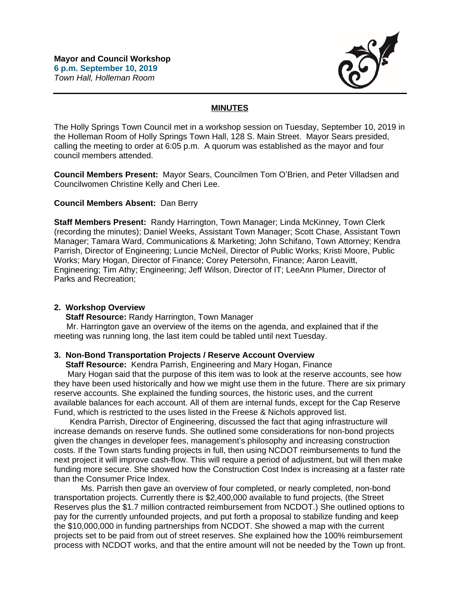

# **MINUTES**

The Holly Springs Town Council met in a workshop session on Tuesday, September 10, 2019 in the Holleman Room of Holly Springs Town Hall, 128 S. Main Street. Mayor Sears presided, calling the meeting to order at 6:05 p.m. A quorum was established as the mayor and four council members attended.

**Council Members Present:** Mayor Sears, Councilmen Tom O'Brien, and Peter Villadsen and Councilwomen Christine Kelly and Cheri Lee.

## **Council Members Absent:** Dan Berry

**Staff Members Present:** Randy Harrington, Town Manager; Linda McKinney, Town Clerk (recording the minutes); Daniel Weeks, Assistant Town Manager; Scott Chase, Assistant Town Manager; Tamara Ward, Communications & Marketing; John Schifano, Town Attorney; Kendra Parrish, Director of Engineering; Luncie McNeil, Director of Public Works; Kristi Moore, Public Works; Mary Hogan, Director of Finance; Corey Petersohn, Finance; Aaron Leavitt, Engineering; Tim Athy; Engineering; Jeff Wilson, Director of IT; LeeAnn Plumer, Director of Parks and Recreation;

## **2. Workshop Overview**

**Staff Resource:** Randy Harrington, Town Manager

Mr. Harrington gave an overview of the items on the agenda, and explained that if the meeting was running long, the last item could be tabled until next Tuesday.

# **3. Non-Bond Transportation Projects / Reserve Account Overview**

 **Staff Resource:** Kendra Parrish, Engineering and Mary Hogan, Finance

Mary Hogan said that the purpose of this item was to look at the reserve accounts, see how they have been used historically and how we might use them in the future. There are six primary reserve accounts. She explained the funding sources, the historic uses, and the current available balances for each account. All of them are internal funds, except for the Cap Reserve Fund, which is restricted to the uses listed in the Freese & Nichols approved list.

Kendra Parrish, Director of Engineering, discussed the fact that aging infrastructure will increase demands on reserve funds. She outlined some considerations for non-bond projects given the changes in developer fees, management's philosophy and increasing construction costs. If the Town starts funding projects in full, then using NCDOT reimbursements to fund the next project it will improve cash-flow. This will require a period of adjustment, but will then make funding more secure. She showed how the Construction Cost Index is increasing at a faster rate than the Consumer Price Index.

Ms. Parrish then gave an overview of four completed, or nearly completed, non-bond transportation projects. Currently there is \$2,400,000 available to fund projects, (the Street Reserves plus the \$1.7 million contracted reimbursement from NCDOT.) She outlined options to pay for the currently unfounded projects, and put forth a proposal to stabilize funding and keep the \$10,000,000 in funding partnerships from NCDOT. She showed a map with the current projects set to be paid from out of street reserves. She explained how the 100% reimbursement process with NCDOT works, and that the entire amount will not be needed by the Town up front.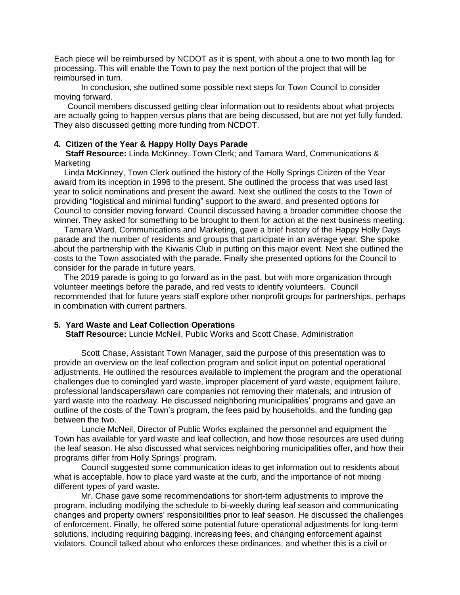Each piece will be reimbursed by NCDOT as it is spent, with about a one to two month lag for processing. This will enable the Town to pay the next portion of the project that will be reimbursed in turn.

In conclusion, she outlined some possible next steps for Town Council to consider moving forward.

Council members discussed getting clear information out to residents about what projects are actually going to happen versus plans that are being discussed, but are not yet fully funded. They also discussed getting more funding from NCDOT.

#### **4. Citizen of the Year & Happy Holly Days Parade**

 **Staff Resource:** Linda McKinney, Town Clerk; and Tamara Ward, Communications & Marketing

Linda McKinney, Town Clerk outlined the history of the Holly Springs Citizen of the Year award from its inception in 1996 to the present. She outlined the process that was used last year to solicit nominations and present the award. Next she outlined the costs to the Town of providing "logistical and minimal funding" support to the award, and presented options for Council to consider moving forward. Council discussed having a broader committee choose the winner. They asked for something to be brought to them for action at the next business meeting.

Tamara Ward, Communications and Marketing, gave a brief history of the Happy Holly Days parade and the number of residents and groups that participate in an average year. She spoke about the partnership with the Kiwanis Club in putting on this major event. Next she outlined the costs to the Town associated with the parade. Finally she presented options for the Council to consider for the parade in future years.

The 2019 parade is going to go forward as in the past, but with more organization through volunteer meetings before the parade, and red vests to identify volunteers. Council recommended that for future years staff explore other nonprofit groups for partnerships, perhaps in combination with current partners.

#### **5. Yard Waste and Leaf Collection Operations**

 **Staff Resource:** Luncie McNeil, Public Works and Scott Chase, Administration

Scott Chase, Assistant Town Manager, said the purpose of this presentation was to provide an overview on the leaf collection program and solicit input on potential operational adjustments. He outlined the resources available to implement the program and the operational challenges due to comingled yard waste, improper placement of yard waste, equipment failure, professional landscapers/lawn care companies not removing their materials; and intrusion of yard waste into the roadway. He discussed neighboring municipalities' programs and gave an outline of the costs of the Town's program, the fees paid by households, and the funding gap between the two.

Luncie McNeil, Director of Public Works explained the personnel and equipment the Town has available for yard waste and leaf collection, and how those resources are used during the leaf season. He also discussed what services neighboring municipalities offer, and how their programs differ from Holly Springs' program.

Council suggested some communication ideas to get information out to residents about what is acceptable, how to place yard waste at the curb, and the importance of not mixing different types of yard waste.

Mr. Chase gave some recommendations for short-term adjustments to improve the program, including modifying the schedule to bi-weekly during leaf season and communicating changes and property owners' responsibilities prior to leaf season. He discussed the challenges of enforcement. Finally, he offered some potential future operational adjustments for long-term solutions, including requiring bagging, increasing fees, and changing enforcement against violators. Council talked about who enforces these ordinances, and whether this is a civil or